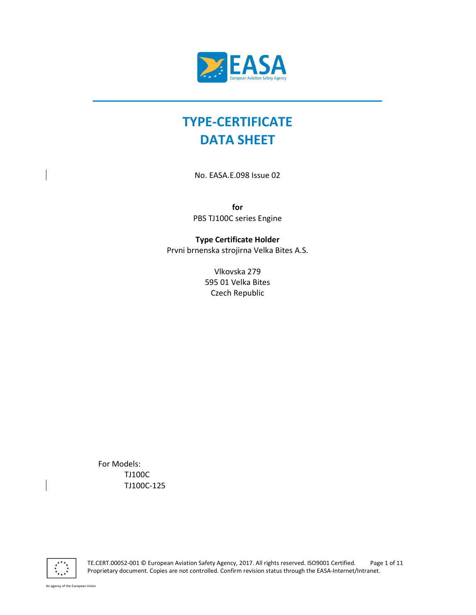

# **TYPE-CERTIFICATE DATA SHEET**

No. EASA.E.098 Issue 02

**for**  PBS TJ100C series Engine

# **Type Certificate Holder**

Prvni brnenska strojirna Velka Bites A.S.

Vlkovska 279 595 01 Velka Bites Czech Republic

For Models: TJ100C TJ100C-125

TE.CERT.00052-001 © European Aviation Safety Agency, 2017. All rights reserved. ISO9001 Certified. Page 1 of 11 Proprietary document. Copies are not controlled. Confirm revision status through the EASA-Internet/Intranet.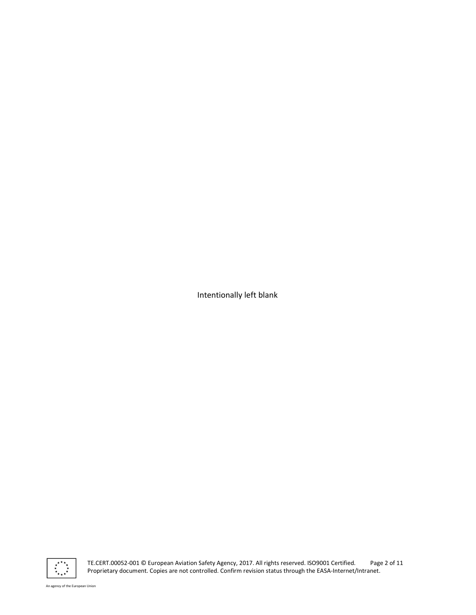Intentionally left blank



TE.CERT.00052-001 © European Aviation Safety Agency, 2017. All rights reserved. ISO9001 Certified. Page 2 of 11 Proprietary document. Copies are not controlled. Confirm revision status through the EASA-Internet/Intranet.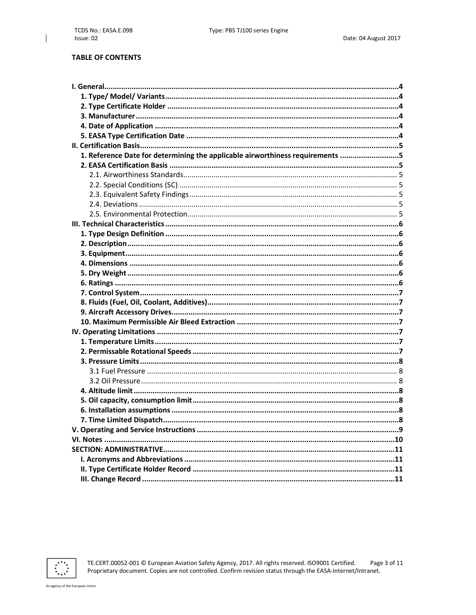$\mathsf{l}$ 

#### **TABLE OF CONTENTS**

| 1. Reference Date for determining the applicable airworthiness requirements 5 |  |
|-------------------------------------------------------------------------------|--|
|                                                                               |  |
|                                                                               |  |
|                                                                               |  |
|                                                                               |  |
|                                                                               |  |
|                                                                               |  |
|                                                                               |  |
|                                                                               |  |
|                                                                               |  |
|                                                                               |  |
|                                                                               |  |
|                                                                               |  |
|                                                                               |  |
|                                                                               |  |
|                                                                               |  |
|                                                                               |  |
|                                                                               |  |
|                                                                               |  |
|                                                                               |  |
|                                                                               |  |
|                                                                               |  |
|                                                                               |  |
|                                                                               |  |
|                                                                               |  |
|                                                                               |  |
|                                                                               |  |
|                                                                               |  |
|                                                                               |  |
|                                                                               |  |
|                                                                               |  |
|                                                                               |  |
|                                                                               |  |
|                                                                               |  |

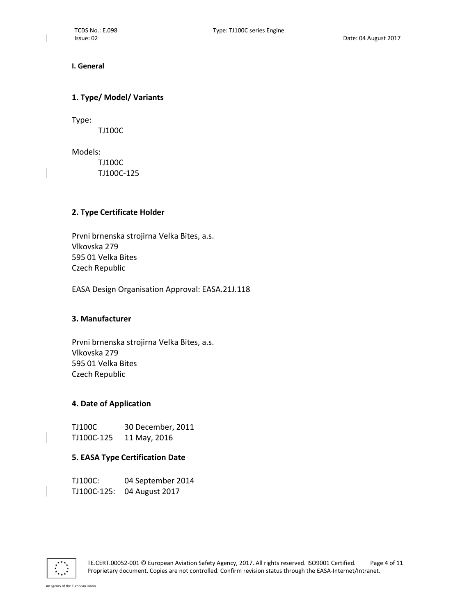**I. General** 

## **1. Type/ Model/ Variants**

Type:

TJ100C

Models:

 TJ100C TJ100C-125

## **2. Type Certificate Holder**

Prvni brnenska strojirna Velka Bites, a.s. Vlkovska 279 595 01 Velka Bites Czech Republic

EASA Design Organisation Approval: EASA.21J.118

## **3. Manufacturer**

Prvni brnenska strojirna Velka Bites, a.s. Vlkovska 279 595 01 Velka Bites Czech Republic

### **4. Date of Application**

TJ100C 30 December, 2011 TJ100C-125 11 May, 2016

## **5. EASA Type Certification Date**

TJ100C: 04 September 2014 TJ100C-125: 04 August 2017

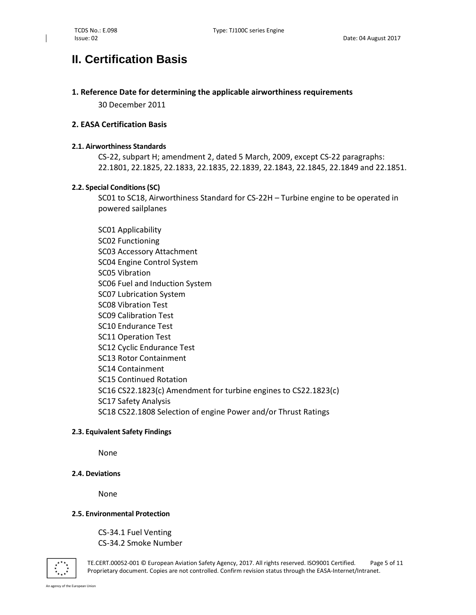## **II. Certification Basis**

## **1. Reference Date for determining the applicable airworthiness requirements**

30 December 2011

## **2. EASA Certification Basis**

### **2.1. Airworthiness Standards**

CS-22, subpart H; amendment 2, dated 5 March, 2009, except CS-22 paragraphs: 22.1801, 22.1825, 22.1833, 22.1835, 22.1839, 22.1843, 22.1845, 22.1849 and 22.1851.

## **2.2. Special Conditions (SC)**

SC01 to SC18, Airworthiness Standard for CS-22H – Turbine engine to be operated in powered sailplanes

SC01 Applicability SC02 Functioning SC03 Accessory Attachment SC04 Engine Control System SC05 Vibration SC06 Fuel and Induction System SC07 Lubrication System SC08 Vibration Test SC09 Calibration Test SC10 Endurance Test SC11 Operation Test SC12 Cyclic Endurance Test SC13 Rotor Containment SC14 Containment SC15 Continued Rotation SC16 CS22.1823(c) Amendment for turbine engines to CS22.1823(c) SC17 Safety Analysis SC18 CS22.1808 Selection of engine Power and/or Thrust Ratings

### **2.3. Equivalent Safety Findings**

None

### **2.4. Deviations**

None

### **2.5. Environmental Protection**

CS-34.1 Fuel Venting CS-34.2 Smoke Number



TE.CERT.00052-001 © European Aviation Safety Agency, 2017. All rights reserved. ISO9001 Certified. Page 5 of 11 Proprietary document. Copies are not controlled. Confirm revision status through the EASA-Internet/Intranet.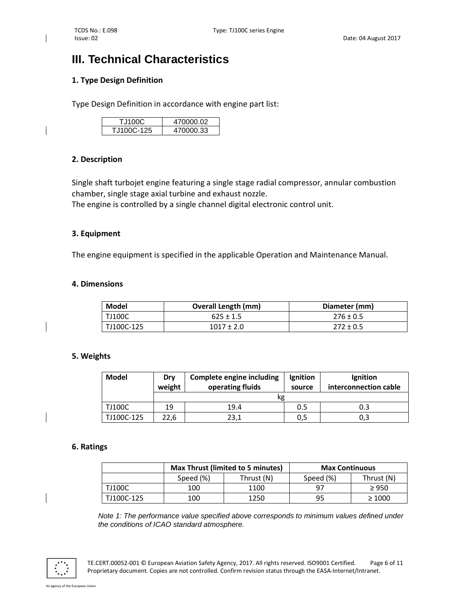## **III. Technical Characteristics**

## **1. Type Design Definition**

Type Design Definition in accordance with engine part list:

| 1,J100C    | 470000.02 |
|------------|-----------|
| TJ100C-125 | 470000.33 |

## **2. Description**

Single shaft turbojet engine featuring a single stage radial compressor, annular combustion chamber, single stage axial turbine and exhaust nozzle.

The engine is controlled by a single channel digital electronic control unit.

## **3. Equipment**

The engine equipment is specified in the applicable Operation and Maintenance Manual.

## **4. Dimensions**

| Model      | <b>Overall Length (mm)</b> | Diameter (mm) |
|------------|----------------------------|---------------|
| TJ100C     | $625 \pm 1.5$              | $276 \pm 0.5$ |
| TJ100C-125 | $1017 \pm 2.0$             | $272 \pm 0.5$ |

### **5. Weights**

| Model         | Drv<br>weight | <b>Complete engine including</b><br>operating fluids | Ignition<br>source | Ignition<br>interconnection cable |
|---------------|---------------|------------------------------------------------------|--------------------|-----------------------------------|
|               |               | кg                                                   |                    |                                   |
| <b>TJ100C</b> | 19            | 19.4                                                 | 0.5                | 0.3                               |
| TJ100C-125    | 22,6          | 23,1                                                 | 0,5                | 0,3                               |

## **6. Ratings**

|               | <b>Max Thrust (limited to 5 minutes)</b> |            | <b>Max Continuous</b> |             |
|---------------|------------------------------------------|------------|-----------------------|-------------|
|               | Speed (%)                                | Thrust (N) | Speed (%)             | Thrust (N)  |
| <b>TJ100C</b> | 100                                      | 1100       | 97                    | $\geq$ 950  |
| TJ100C-125    | 100                                      | 1250       | 95                    | $\geq 1000$ |

Note 1: The performance value specified above corresponds to minimum values defined under the conditions of ICAO standard atmosphere.



TE.CERT.00052-001 © European Aviation Safety Agency, 2017. All rights reserved. ISO9001 Certified. Page 6 of 11 Proprietary document. Copies are not controlled. Confirm revision status through the EASA-Internet/Intranet.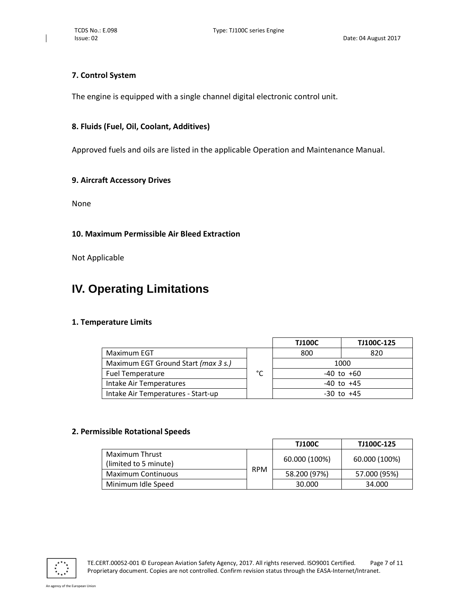## **7. Control System**

The engine is equipped with a single channel digital electronic control unit.

## **8. Fluids (Fuel, Oil, Coolant, Additives)**

Approved fuels and oils are listed in the applicable Operation and Maintenance Manual.

## **9. Aircraft Accessory Drives**

None

## **10. Maximum Permissible Air Bleed Extraction**

Not Applicable

## **IV. Operating Limitations**

## **1. Temperature Limits**

|                                     |    | <b>TJ100C</b>  | TJ100C-125     |
|-------------------------------------|----|----------------|----------------|
| <b>Maximum EGT</b>                  |    | 800            | 820            |
| Maximum EGT Ground Start (max 3 s.) |    | 1000           |                |
| <b>Fuel Temperature</b>             | °C | $-40$ to $+60$ |                |
| Intake Air Temperatures             |    | -40 to +45     |                |
| Intake Air Temperatures - Start-up  |    |                | $-30$ to $+45$ |

## **2. Permissible Rotational Speeds**

|                           |            | <b>TJ100C</b> | TJ100C-125    |
|---------------------------|------------|---------------|---------------|
| Maximum Thrust            |            | 60.000 (100%) |               |
| (limited to 5 minute)     |            |               | 60.000 (100%) |
| <b>Maximum Continuous</b> | <b>RPM</b> | 58.200 (97%)  | 57.000 (95%)  |
| Minimum Idle Speed        |            | 30.000        | 34.000        |

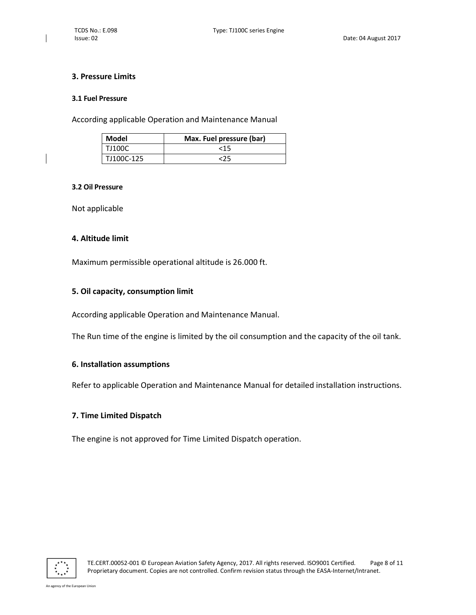### **3. Pressure Limits**

#### **3.1 Fuel Pressure**

According applicable Operation and Maintenance Manual

| Model      | Max. Fuel pressure (bar) |
|------------|--------------------------|
| TJ100C     | $<$ 15                   |
| TJ100C-125 | <25                      |

#### **3.2 Oil Pressure**

Not applicable

#### **4. Altitude limit**

Maximum permissible operational altitude is 26.000 ft.

### **5. Oil capacity, consumption limit**

According applicable Operation and Maintenance Manual.

The Run time of the engine is limited by the oil consumption and the capacity of the oil tank.

### **6. Installation assumptions**

Refer to applicable Operation and Maintenance Manual for detailed installation instructions.

### **7. Time Limited Dispatch**

The engine is not approved for Time Limited Dispatch operation.

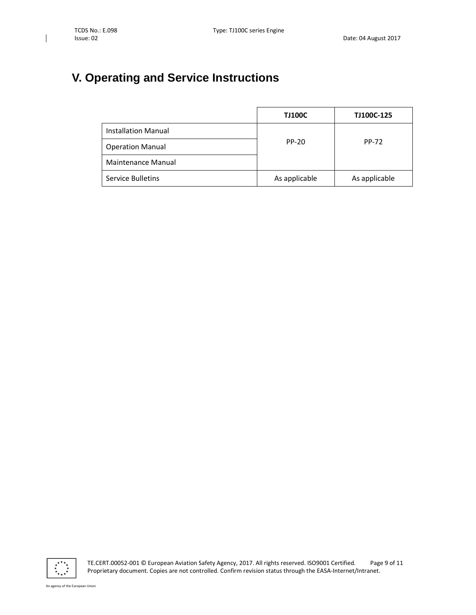$\mathbf{I}$ 

# **V. Operating and Service Instructions**

|                            | <b>TJ100C</b> | TJ100C-125    |
|----------------------------|---------------|---------------|
| <b>Installation Manual</b> |               |               |
| <b>Operation Manual</b>    | PP-20         | <b>PP-72</b>  |
| Maintenance Manual         |               |               |
| Service Bulletins          | As applicable | As applicable |

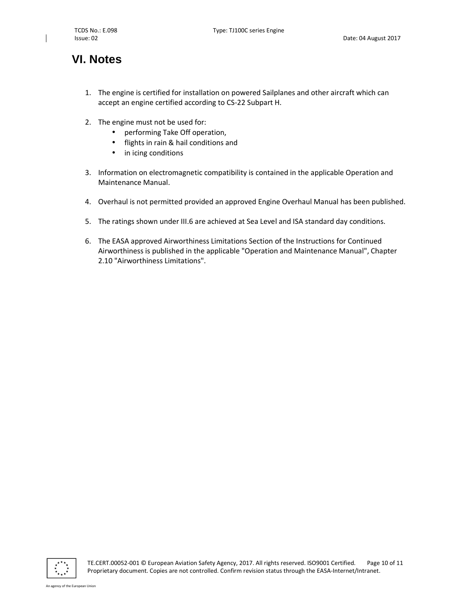## **VI. Notes**

- 1. The engine is certified for installation on powered Sailplanes and other aircraft which can accept an engine certified according to CS-22 Subpart H.
- 2. The engine must not be used for:
	- performing Take Off operation,
	- flights in rain & hail conditions and
	- in icing conditions
- 3. Information on electromagnetic compatibility is contained in the applicable Operation and Maintenance Manual.
- 4. Overhaul is not permitted provided an approved Engine Overhaul Manual has been published.
- 5. The ratings shown under III.6 are achieved at Sea Level and ISA standard day conditions.
- 6. The EASA approved Airworthiness Limitations Section of the Instructions for Continued Airworthiness is published in the applicable "Operation and Maintenance Manual", Chapter 2.10 "Airworthiness Limitations".